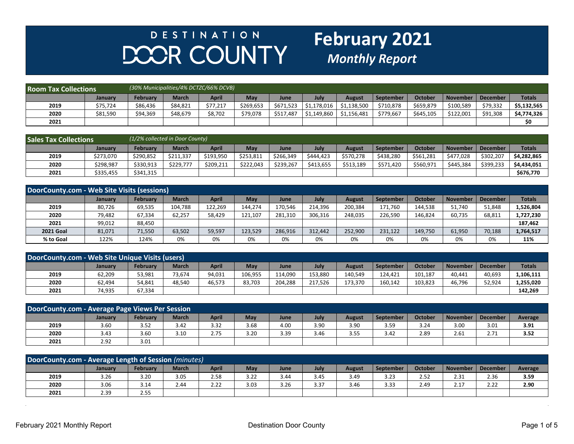## DESTINATION DOOR COUNTY

## **February 2021**

| <b>Room Tax Collections</b> |                | (30% Municipalities/4% DCTZC/66% DCVB) |              |          |            |             |             |             |           |                |           |          |               |
|-----------------------------|----------------|----------------------------------------|--------------|----------|------------|-------------|-------------|-------------|-----------|----------------|-----------|----------|---------------|
|                             | <b>January</b> | <b>February</b>                        | <b>March</b> | April    | <b>May</b> | <b>June</b> | July        | August      | September | <b>October</b> | November  | December | <b>Totals</b> |
| 2019                        | \$75,724       | \$86,436                               | \$84,821     | \$77,217 | \$269.653  | \$671,523   | \$1,178,016 | \$1.138.500 | \$710,878 | \$659,879      | \$100,589 | \$79,332 | \$5,132,565   |
| 2020                        | \$81,590       | \$94,369                               | \$48,679     | \$8,702  | \$79,078   | \$517,487   | \$1,149,860 | \$1,156,481 | \$779,667 | \$645,105      | \$122.001 | \$91,308 | \$4,774,326   |
| 2021                        |                |                                        |              |          |            |             |             |             |           |                |           |          | \$0           |

| <b>Sales Tax Collections</b> |           | (1/2% collected in Door County) |              |           |            |             |             |               |           |           |              |           |               |
|------------------------------|-----------|---------------------------------|--------------|-----------|------------|-------------|-------------|---------------|-----------|-----------|--------------|-----------|---------------|
|                              | Januarv   | February                        | <b>March</b> | April     | <b>May</b> | <b>June</b> | <b>July</b> | <b>August</b> | September | October   | l November i | December  | <b>Totals</b> |
| 2019                         | \$273,070 | \$290.852                       | \$211.337    | \$193,950 | \$253.811  | \$266,349   | \$444.423   | \$570.278     | \$438.280 | \$561,281 | \$477.028    | \$302,207 | \$4.282.865   |
| 2020                         | \$298,987 | \$330,913                       | \$229.777    | \$209,211 | \$222.043  | \$239,267   | \$413,655   | \$513,189     | \$571,420 | \$560,971 | \$445,384    | \$399,233 | \$4,434,051   |
| 2021                         | \$335,455 | \$341,315                       |              |           |            |             |             |               |           |           |              |           | \$676,770     |

| DoorCounty.com - Web Site Visits (sessions) |         |                 |              |              |         |         |         |               |                  |                |                 |                 |               |
|---------------------------------------------|---------|-----------------|--------------|--------------|---------|---------|---------|---------------|------------------|----------------|-----------------|-----------------|---------------|
|                                             | January | <b>February</b> | <b>March</b> | <b>April</b> | May     | June    | July    | <b>August</b> | <b>September</b> | <b>October</b> | <b>November</b> | <b>December</b> | <b>Totals</b> |
| 2019                                        | 80.726  | 69,535          | 104.788      | 122.269      | 144.274 | 170.546 | 214.396 | 200.384       | 171.760          | 144.538        | 51.740          | 51,848          | 1,526,804     |
| 2020                                        | 79,482  | 67,334          | 62,257       | 58,429       | 121,107 | 281,310 | 306,316 | 248,035       | 226,590          | 146,824        | 60,735          | 68,811          | L,727,230     |
| 2021                                        | 99,012  | 88,450          |              |              |         |         |         |               |                  |                |                 |                 | 187,462       |
| <b>2021 Goal</b>                            | 81,071  | 71,550          | 63,502       | 59,597       | 123,529 | 286,916 | 312.442 | 252,900       | 231.122          | 149.750        | 61,950          | 70,188          | 1,764,517     |
| % to Goal                                   | 122%    | 124%            | 0%           | 0%           | 0%      | 0%      | 0%      | 0%            | 0%               | 0%             | 0%              | 0%              | 11%           |

| DoorCounty.com - Web Site Unique Visits (users) |         |          |              |              |         |         |         |               |           |         |                 |                 |               |
|-------------------------------------------------|---------|----------|--------------|--------------|---------|---------|---------|---------------|-----------|---------|-----------------|-----------------|---------------|
|                                                 | January | February | <b>March</b> | <b>April</b> | May     | June    | July    | <b>August</b> | September | October | <b>November</b> | <b>December</b> | <b>Totals</b> |
| 2019                                            | 62,209  | 53,981   | 73.674       | 94,031       | 106,955 | 114.090 | 153.880 | 140.549       | 124.421   | 101,187 | 40,441          | 40,693          | 1,106,111     |
| 2020                                            | 62,494  | 54,841   | 48.540       | 46,573       | 83,703  | 204.288 | 217.526 | 173,370       | 160,142   | 103,823 | 46.796          | 52,924          | 1,255,020     |
| 2021                                            | 74,935  | 67,334   |              |              |         |         |         |               |           |         |                 |                 | 142.269       |

| DoorCounty.com - Average Page Views Per Session |         |          |              |              |      |      |      |               |                  |                |          |                 |                |
|-------------------------------------------------|---------|----------|--------------|--------------|------|------|------|---------------|------------------|----------------|----------|-----------------|----------------|
|                                                 | January | Februarv | <b>March</b> | <b>April</b> | May  | June | July | <b>August</b> | <b>September</b> | <b>October</b> | November | <b>December</b> | <b>Average</b> |
| 2019                                            | 3.60    | 3.52     | 3.42         | 3.32         | 3.68 | 4.00 | 3.90 | 3.90          | 3.59             | 3.24           | 3.00     | 3.01            | 3.91           |
| 2020                                            | 3.43    | 3.60     | 3.10         | 2.75         | 3.20 | 3.39 | 3.46 | 3.55          | 3.42             | 2.89           | 2.61     | 2.71            | 3.52           |
| 2021                                            | 2.92    | 3.01     |              |              |      |      |      |               |                  |                |          |                 |                |

| DoorCounty.com - Average Length of Session (minutes) |                |          |              |              |      |      |      |               |           |                |            |          |         |
|------------------------------------------------------|----------------|----------|--------------|--------------|------|------|------|---------------|-----------|----------------|------------|----------|---------|
|                                                      | <b>January</b> | Februarv | <b>March</b> | <b>April</b> | May  | June | July | <b>August</b> | September | <b>October</b> | 1 November | December | Average |
| 2019                                                 | 3.26           | 3.20     | 3.05         | 2.58         | 3.22 | 3.44 | 3.45 | 3.49          | 3.23      | 2.52           | 2.31       | 2.36     | 3.59    |
| 2020                                                 | 3.06           | 3.14     | 2.44         | 2.22         | 3.03 | 3.26 | 3.37 | 3.46          | 3.33      | $2.4^\circ$    | 2.17       | 2.22     | 2.90    |
| 2021                                                 | 2.39           | 2.55     |              |              |      |      |      |               |           |                |            |          |         |

 $\ddot{\phantom{a}}$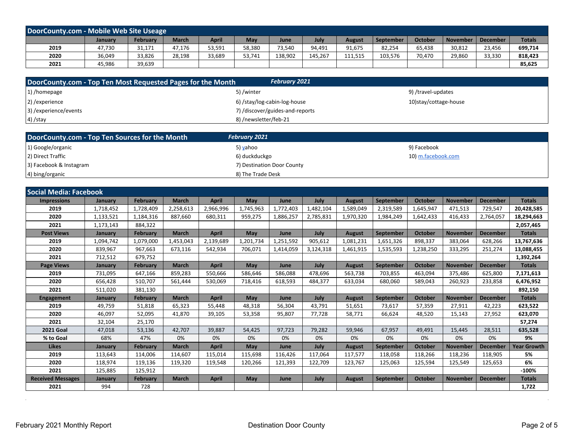| DoorCounty.com - Mobile Web Site Useage |                |          |              |        |        |             |         |         |           |                |                     |        |               |
|-----------------------------------------|----------------|----------|--------------|--------|--------|-------------|---------|---------|-----------|----------------|---------------------|--------|---------------|
|                                         | <b>January</b> | February | <b>March</b> | April  | May    | <b>June</b> | July    | August  | September | <b>October</b> | November   December |        | <b>Totals</b> |
| 2019                                    | 47,730         | 31,171   | 47,176       | 53,591 | 58,380 | 73,540      | 94,491  | 91,675  | 82,254    | 65,438         | 30,812              | 23,456 | 699,714       |
| 2020                                    | 36,049         | 33,826   | 28,198       | 33,689 | 53,741 | 138,902     | 145.267 | 111,515 | 103,576   | 70.470         | 29,860              | 33,330 | 818,423       |
| 2021                                    | 45,986         | 39,639   |              |        |        |             |         |         |           |                |                     |        | 85,625        |

| DoorCounty.com - Top Ten Most Requested Pages for the Month | <b>February 2021</b>            |                       |
|-------------------------------------------------------------|---------------------------------|-----------------------|
| 1) /homepage                                                | 5)/winter                       | 9) /travel-updates    |
| 2) / experience                                             | 6) /stay/log-cabin-log-house    | 10)stay/cottage-house |
| 3) / experience/events                                      | 7) /discover/guides-and-reports |                       |
| $(4)$ /stay                                                 | 8) /newsletter/feb-21           |                       |

| DoorCounty.com - Top Ten Sources for the Month | <b>February 2021</b>       |                    |
|------------------------------------------------|----------------------------|--------------------|
| 1) Google/organic                              | 5) yahoo                   | 9) Facebook        |
| 2) Direct Traffic                              | 6) duckduckgo              | 10) m.facebook.com |
| 3) Facebook & Instagram                        | 7) Destination Door County |                    |
| 4) bing/organic                                | 8) The Trade Desk          |                    |

| <b>Social Media: Facebook</b> |           |                 |              |              |           |           |           |               |                  |                |                 |                 |                    |
|-------------------------------|-----------|-----------------|--------------|--------------|-----------|-----------|-----------|---------------|------------------|----------------|-----------------|-----------------|--------------------|
| <b>Impressions</b>            | January   | <b>February</b> | <b>March</b> | <b>April</b> | May       | June      | July      | <b>August</b> | September        | <b>October</b> | <b>November</b> | <b>December</b> | <b>Totals</b>      |
| 2019                          | 1,718,452 | 1,728,409       | 2,258,613    | 2,966,996    | 1,745,963 | 1,772,403 | 1,482,104 | 1,589,049     | 2,319,589        | 1,645,947      | 471,513         | 729,547         | 20,428,585         |
| 2020                          | 1,133,521 | 1,184,316       | 887,660      | 680,311      | 959,275   | 1,886,257 | 2,785,831 | 1,970,320     | 1,984,249        | 1,642,433      | 416,433         | 2,764,057       | 18,294,663         |
| 2021                          | 1,173,143 | 884,322         |              |              |           |           |           |               |                  |                |                 |                 | 2,057,465          |
| <b>Post Views</b>             | January   | <b>February</b> | <b>March</b> | <b>April</b> | May       | June      | July      | <b>August</b> | <b>September</b> | <b>October</b> | <b>November</b> | <b>December</b> | <b>Totals</b>      |
| 2019                          | 1.094.742 | 1,079,000       | 1,453,043    | 2,139,689    | 1,201,734 | 1,251,592 | 905,612   | 1,081,231     | 1.651.326        | 898,337        | 383,064         | 628,266         | 13,767,636         |
| 2020                          | 839,967   | 967,663         | 673,116      | 542,934      | 706,071   | 1,414,059 | 3,124,318 | 1,461,915     | 1,535,593        | 1,238,250      | 333,295         | 251,274         | 13,088,455         |
| 2021                          | 712,512   | 679,752         |              |              |           |           |           |               |                  |                |                 |                 | 1,392,264          |
| <b>Page Views</b>             | January   | February        | <b>March</b> | <b>April</b> | May       | June      | July      | <b>August</b> | <b>September</b> | <b>October</b> | <b>November</b> | <b>December</b> | <b>Totals</b>      |
| 2019                          | 731,095   | 647.166         | 859.283      | 550.666      | 586.646   | 586.088   | 478.696   | 563.738       | 703.855          | 463.094        | 375.486         | 625.800         | 7,171,613          |
| 2020                          | 656,428   | 510,707         | 561,444      | 530,069      | 718,416   | 618,593   | 484,377   | 633,034       | 680.060          | 589,043        | 260,923         | 233,858         | 6,476,952          |
| 2021                          | 511,020   | 381,130         |              |              |           |           |           |               |                  |                |                 |                 | 892,150            |
| <b>Engagement</b>             | January   | February        | <b>March</b> | <b>April</b> | May       | June      | July      | <b>August</b> | <b>September</b> | <b>October</b> | <b>November</b> | <b>December</b> | <b>Totals</b>      |
| 2019                          | 49,759    | 51,818          | 65,323       | 55,448       | 48,318    | 56,304    | 43,791    | 51,651        | 73,617           | 57,359         | 27,911          | 42,223          | 623,522            |
| 2020                          | 46,097    | 52,095          | 41,870       | 39,105       | 53,358    | 95,807    | 77,728    | 58,771        | 66.624           | 48,520         | 15,143          | 27,952          | 623,070            |
| 2021                          | 32,104    | 25,170          |              |              |           |           |           |               |                  |                |                 |                 | 57,274             |
| <b>2021 Goal</b>              | 47,018    | 53,136          | 42,707       | 39,887       | 54,425    | 97,723    | 79,282    | 59,946        | 67,957           | 49,491         | 15,445          | 28,511          | 635,528            |
| % to Goal                     | 68%       | 47%             | 0%           | 0%           | 0%        | 0%        | 0%        | 0%            | 0%               | 0%             | 0%              | 0%              | 9%                 |
| <b>Likes</b>                  | January   | <b>February</b> | <b>March</b> | <b>April</b> | May       | June      | July      | <b>August</b> | <b>September</b> | <b>October</b> | <b>November</b> | <b>December</b> | <b>Year Growth</b> |
| 2019                          | 113,643   | 114,006         | 114,607      | 115,014      | 115,698   | 116,426   | 117,064   | 117,577       | 118,058          | 118,266        | 118,236         | 118,905         | 5%                 |
| 2020                          | 118,974   | 119,136         | 119,320      | 119,548      | 120,266   | 121,393   | 122,709   | 123,767       | 125,063          | 125,594        | 125,549         | 125,653         | 6%                 |
| 2021                          | 125,885   | 125,912         |              |              |           |           |           |               |                  |                |                 |                 | $-100%$            |
| <b>Received Messages</b>      | January   | <b>February</b> | <b>March</b> | <b>April</b> | May       | June      | July      | <b>August</b> | <b>September</b> | <b>October</b> | <b>November</b> | <b>December</b> | <b>Totals</b>      |
| 2021                          | 994       | 728             |              |              |           |           |           |               |                  |                |                 |                 | 1,722              |

 $\sim$ 

 $\ddot{\phantom{a}}$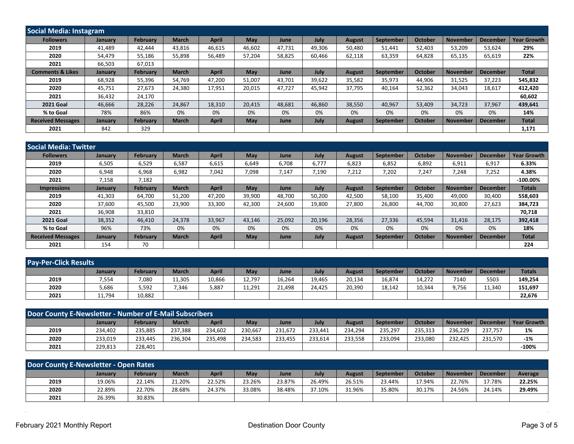| Social Media: Instagram     |         |                 |              |              |        |             |        |               |           |                |                 |                 |                    |
|-----------------------------|---------|-----------------|--------------|--------------|--------|-------------|--------|---------------|-----------|----------------|-----------------|-----------------|--------------------|
| <b>Followers</b>            | January | <b>February</b> | <b>March</b> | <b>April</b> | May    | June        | July   | <b>August</b> | September | <b>October</b> | November        | December        | <b>Year Growth</b> |
| 2019                        | 41.489  | 42.444          | 43.816       | 46,615       | 46.602 | 47.731      | 49.306 | 50,480        | 51.441    | 52,403         | 53.209          | 53,624          | 29%                |
| 2020                        | 54,479  | 55,186          | 55,898       | 56,489       | 57,204 | 58,825      | 60.466 | 62,118        | 63,359    | 64,828         | 65,135          | 65,619          | 22%                |
| 2021                        | 66,503  | 67,013          |              |              |        |             |        |               |           |                |                 |                 |                    |
| <b>Comments &amp; Likes</b> | January | <b>February</b> | <b>March</b> | <b>April</b> | May    | <b>June</b> | July   | <b>August</b> | September | <b>October</b> | <b>November</b> | <b>December</b> | <b>Total</b>       |
| 2019                        | 68.928  | 55,396          | 54.769       | 47,200       | 51,007 | 43.701      | 39,622 | 35,582        | 35,973    | 44,906         | 31,525          | 37,223          | 545,832            |
| 2020                        | 45,751  | 27,673          | 24,380       | 17,951       | 20,015 | 47,727      | 45,942 | 37,795        | 40,164    | 52,362         | 34,043          | 18,617          | 412,420            |
| 2021                        | 36,432  | 24,170          |              |              |        |             |        |               |           |                |                 |                 | 60,602             |
| <b>2021 Goal</b>            | 46,666  | 28,226          | 24,867       | 18,310       | 20,415 | 48,681      | 46.860 | 38,550        | 40,967    | 53,409         | 34,723          | 37,967          | 439,641            |
| % to Goal                   | 78%     | 86%             | 0%           | 0%           | 0%     | 0%          | 0%     | 0%            | 0%        | 0%             | 0%              | 0%              | 14%                |
| <b>Received Messages</b>    | January | <b>February</b> | <b>March</b> | <b>April</b> | May    | June        | July   | <b>August</b> | September | <b>October</b> | <b>November</b> | <b>December</b> | <b>Total</b>       |
| 2021                        | 842     | 329             |              |              |        |             |        |               |           |                |                 |                 | 1,171              |

| l Social Media: Twitter  |                |          |              |              |        |             |        |               |                  |                |                 |                 |                    |
|--------------------------|----------------|----------|--------------|--------------|--------|-------------|--------|---------------|------------------|----------------|-----------------|-----------------|--------------------|
| <b>Followers</b>         | January        | February | <b>March</b> | <b>April</b> | May    | June        | July   | <b>August</b> | September        | <b>October</b> | <b>November</b> | December        | <b>Year Growth</b> |
| 2019                     | 6,505          | 6,529    | 6,587        | 6,615        | 6,649  | 6.708       | 6,777  | 6,823         | 6,852            | 6,892          | 6,911           | 6,917           | 6.33%              |
| 2020                     | 6,948          | 6,968    | 6,982        | 7,042        | 7,098  | 7,147       | 7,190  | 7,212         | 7,202            | 7,247          | 7,248           | 7,252           | 4.38%              |
| 2021                     | 7,158          | 7,182    |              |              |        |             |        |               |                  |                |                 |                 | $-100.00\%$        |
| <b>Impressions</b>       | <b>January</b> | February | <b>March</b> | <b>April</b> | May    | June        | July   | <b>August</b> | September        | <b>October</b> | <b>November</b> | <b>December</b> | <b>Totals</b>      |
| 2019                     | 41,303         | 64,700   | 51.200       | 47,200       | 39,900 | 48,700      | 50.200 | 42,500        | 58,100           | 35,400         | 49,000          | 30,400          | 558,603            |
| 2020                     | 37,600         | 45,500   | 23,900       | 33,300       | 42,300 | 24,600      | 19,800 | 27,800        | 26,800           | 44,700         | 30,800          | 27,623          | 384,723            |
| 2021                     | 36,908         | 33,810   |              |              |        |             |        |               |                  |                |                 |                 | 70,718             |
| <b>2021 Goal</b>         | 38,352         | 46,410   | 24,378       | 33,967       | 43,146 | 25,092      | 20,196 | 28,356        | 27,336           | 45,594         | 31,416          | 28,175          | 392,418            |
| % to Goal                | 96%            | 73%      | 0%           | 0%           | 0%     | 0%          | 0%     | 0%            | 0%               | 0%             | 0%              | 0%              | 18%                |
| <b>Received Messages</b> | <b>January</b> | February | <b>March</b> | <b>April</b> | May    | <b>June</b> | July   | <b>August</b> | <b>September</b> | <b>October</b> | <b>November</b> | <b>December</b> | <b>Total</b>       |
| 2021                     | 154            | 70       |              |              |        |             |        |               |                  |                |                 |                 | 224                |

| <b>Pay-Per-Click Results</b> |                |                 |              |        |        |             |        |               |           |                |                 |          |               |
|------------------------------|----------------|-----------------|--------------|--------|--------|-------------|--------|---------------|-----------|----------------|-----------------|----------|---------------|
|                              | <b>January</b> | <b>February</b> | <b>March</b> | April  | May    | <b>June</b> | July   | <b>August</b> | September | <b>October</b> | <b>November</b> | December | <b>Totals</b> |
| 2019                         | 554,           | 7,080           | 11,305       | 10,866 | 12,797 | 16,264      | 19,465 | 20,134        | 16,874    | 14,272         | 7140            | 5503     | 149,254       |
| 2020                         | 5,686          | 5,592           | 7,346        | 5,887  | 11,291 | 21,498      | 24.425 | 20,390        | 18,142    | 10,344         | 9,756           | 11,340   | 151,697       |
| 2021                         | 11,794         | 10,882          |              |        |        |             |        |               |           |                |                 |          | 22.676        |

| <b>Door County E-Newsletter - Number of E-Mail Subscribers</b> |                |          |              |              |         |         |         |               |           |                |          |              |             |
|----------------------------------------------------------------|----------------|----------|--------------|--------------|---------|---------|---------|---------------|-----------|----------------|----------|--------------|-------------|
|                                                                | <b>January</b> | February | <b>March</b> | <b>April</b> | May     | June    | July    | <b>August</b> | September | <b>October</b> | November | l December l | Pear Growth |
| 2019                                                           | 234,402        | 235,885  | 237.388      | 234,602      | 230,667 | 231,672 | 233.441 | 234,294       | 235.297   | 235,313        | 236.229  | 237.757      | 1%          |
| 2020                                                           | 233,019        | 233.445  | 236.304      | 235,498      | 234.583 | 233,455 | 233.614 | 233,558       | 233.094   | 233,080        | 232.425  | 231,570      | $-1%$       |
| 2021                                                           | 229.813        | 228,401  |              |              |         |         |         |               |           |                |          |              | $-100%$     |

| Door County E-Newsletter - Open Rates |         |                 |              |              |        |        |        |               |                  |         |          |                 |         |
|---------------------------------------|---------|-----------------|--------------|--------------|--------|--------|--------|---------------|------------------|---------|----------|-----------------|---------|
|                                       | Januarv | <b>February</b> | <b>March</b> | <b>April</b> | May    | June   | July   | <b>August</b> | <b>September</b> | October | November | <b>December</b> | Average |
| 2019                                  | 19.06%  | 22.14%          | 21.20%       | 22.52%       | 23.26% | 23.87% | 26.49% | 26.51%        | 23.44%           | 17.94%  | 22.76%   | 17.78%          | 22.25%  |
| 2020                                  | 22.89%  | 22.70%          | 28.68%       | 24.37%       | 33.08% | 38.48% | 37.10% | 31.96%        | 35.80%           | 30.17%  | 24.56%   | 24.14%          | 29.49%  |
| 2021                                  | 26.39%  | 30.83%          |              |              |        |        |        |               |                  |         |          |                 |         |

 $\sim$ 

l.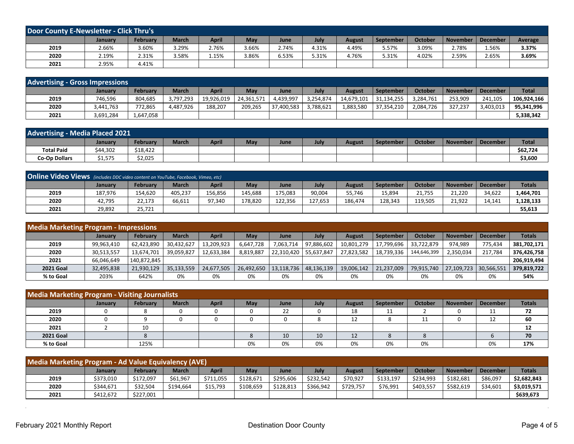| <b>Door County E-Newsletter - Click Thru's</b> |         |                 |              |              |            |             |       |               |                  |                |                 |                 |         |
|------------------------------------------------|---------|-----------------|--------------|--------------|------------|-------------|-------|---------------|------------------|----------------|-----------------|-----------------|---------|
|                                                | Januarv | <b>February</b> | <b>March</b> | <b>April</b> | <b>May</b> | <b>June</b> | July  | <b>August</b> | <b>September</b> | <b>October</b> | <b>November</b> | <b>December</b> | Average |
| 2019                                           | 2.66%   | 3.60%           | 3.29%        | 2.76%        | 3.66%      | 2.74%       | 4.31% | 4.49%         | 5.57%            | 3.09%          | 2.78%           | 1.56%           | 3.37%   |
| 2020                                           | 2.19%   | 2.31%           | 3.58%        | 1.15%        | 3.86%      | 6.53%       | 5.31% | 4.76%         | 5.31%            | 4.02%          | 2.59%           | 2.65%           | 3.69%   |
| 2021                                           | 2.95%   | 4.41%           |              |              |            |             |       |               |                  |                |                 |                 |         |

| <b>Advertising - Gross Impressions</b> |           |           |              |            |            |             |           |               |            |                |                 |                 |              |
|----------------------------------------|-----------|-----------|--------------|------------|------------|-------------|-----------|---------------|------------|----------------|-----------------|-----------------|--------------|
|                                        | January   | February  | <b>March</b> | April      | May        | <b>June</b> | July      | <b>August</b> | September  | <b>October</b> | <b>November</b> | <b>December</b> | <b>Total</b> |
| 2019                                   | 746,596   | 804,685   | 3,797,293    | 19,926,019 | 24,361,571 | 4,439,997   | 3,254,874 | 14,679,101    | 31,134,255 | 3,284,761      | 253,909         | 241,105         | 106.924.166  |
| 2020                                   | 3,441,763 | 772,865   | 4,487,926    | 188,207    | 209,265    | 37,400,583  | 3.788.621 | 1,883,580     | 37,354,210 | 2,084,726      | 327,237         | 3,403,013       | 95,341,996   |
| 2021                                   | 3,691,284 | 1,647,058 |              |            |            |             |           |               |            |                |                 |                 | 5,338,342    |

| <b>Advertising - Media Placed 2021</b> |                |          |              |              |     |      |      |        |           |                |                 |                 |              |
|----------------------------------------|----------------|----------|--------------|--------------|-----|------|------|--------|-----------|----------------|-----------------|-----------------|--------------|
|                                        | <b>January</b> | Februarv | <b>March</b> | <b>April</b> | May | June | July | August | September | <b>October</b> | <b>November</b> | <b>December</b> | <b>Total</b> |
| <b>Total Paid</b>                      | \$44,302       | \$18,422 |              |              |     |      |      |        |           |                |                 |                 | \$62,724     |
| <b>Co-Op Dollars</b>                   | \$1.575        | \$2,025  |              |              |     |      |      |        |           |                |                 |                 | \$3,600      |

| <b>Online Video Views</b> (includes DDC video content on YouTube, Facebook, Vimeo, etc) |         |                 |              |         |         |         |         |               |                  |                |                 |                 |               |
|-----------------------------------------------------------------------------------------|---------|-----------------|--------------|---------|---------|---------|---------|---------------|------------------|----------------|-----------------|-----------------|---------------|
|                                                                                         | January | <b>February</b> | <b>March</b> | April   | May     | June    | July    | <b>August</b> | <b>September</b> | <b>October</b> | <b>November</b> | <b>December</b> | <b>Totals</b> |
| 2019                                                                                    | 187.976 | 154.620         | 405,237      | 156,856 | 145,688 | 175,083 | 90,004  | 55,746        | 15,894           | 21.755         | 21.220          | 34,622          | L,464,701     |
| 2020                                                                                    | 42,795  | 22,173          | 66,611       | 97.340  | 178.820 | 122.356 | 127.653 | 186.474       | 128,343          | 119.505        | 21.922          | 14.141          | 1,128,133     |
| 2021                                                                                    | 29,892  | 25,721          |              |         |         |         |         |               |                  |                |                 |                 | 55,613        |

| <b>Media Marketing Program - Impressions</b> |                |                 |              |            |            |                         |            |               |             |                |                 |                 |               |
|----------------------------------------------|----------------|-----------------|--------------|------------|------------|-------------------------|------------|---------------|-------------|----------------|-----------------|-----------------|---------------|
|                                              | <b>January</b> | <b>February</b> | <b>March</b> | April      | May        | June                    | July       | <b>August</b> | September   | <b>October</b> | <b>November</b> | <b>December</b> | <b>Totals</b> |
| 2019                                         | 99,963,410     | 62,423,890      | 30,432,627   | 13,209,923 | 6,647,728  | 7.063.714               | 97,886,602 | 10,801,279    | 17,799,696  | 33.722.879     | 974.989         | 775.434         | 381,702,171   |
| 2020                                         | 30,513,557     | 13,674,701      | 39.059.827   | 12,633,384 | 8.819.887  | 22,310,420              | 55.637.847 | 27.823.582    | 18.739.336  | 144,646,399    | 2,350,034       | 217.784         | 376,426,758   |
| 2021                                         | 66,046,649     | 140.872.845     |              |            |            |                         |            |               |             |                |                 |                 | 206,919,494   |
| <b>2021 Goal</b>                             | 32,495,838     | 21,930,129      | 35,133,559   | 24,677,505 | 26,492,650 | 13,118,736   48,136,139 |            | 19,006,142    | 121,237,009 | 79,915,740     | 27,109,723      | 30,566,551      | 379,819,722   |
| % to Goal                                    | 203%           | 642%            | 0%           | 0%         | 0%         | 0%                      | 0%         | 0%            | 0%          | 0%             | 0%              | 0%              | 54%           |

| <b>Media Marketing Program - Visiting Journalists</b> |         |          |              |              |     |             |      |               |           |                |                 |                 |               |
|-------------------------------------------------------|---------|----------|--------------|--------------|-----|-------------|------|---------------|-----------|----------------|-----------------|-----------------|---------------|
|                                                       | January | February | <b>March</b> | <b>April</b> | May | <b>June</b> | July | <b>August</b> | September | <b>October</b> | <b>November</b> | <b>December</b> | <b>Totals</b> |
| 2019                                                  |         |          |              |              | 0   | 22          |      | 18            | 11<br>ᆠ   |                |                 | 11<br>ᆠᆂ        | 72            |
| 2020                                                  |         |          |              |              | 0   |             |      |               |           |                |                 | ∸∸              | 60            |
| 2021                                                  |         | 10       |              |              |     |             |      |               |           |                |                 |                 | 12            |
| <b>2021 Goal</b>                                      |         |          |              |              |     | 10          | 10   | 12            |           |                |                 |                 | 70            |
| % to Goal                                             |         | 125%     |              |              | 0%  | 0%          | 0%   | 0%            | 0%        | 0%             |                 | 0%              | 17%           |

| Media Marketing Program - Ad Value Equivalency (AVE) |                |           |              |           |           |           |           |               |                  |           |                 |                 |               |
|------------------------------------------------------|----------------|-----------|--------------|-----------|-----------|-----------|-----------|---------------|------------------|-----------|-----------------|-----------------|---------------|
|                                                      | <b>January</b> | February  | <b>March</b> | April     | May       | June      | July      | <b>August</b> | <b>September</b> | October   | <b>November</b> | <b>December</b> | <b>Totals</b> |
| 2019                                                 | \$373,010      | \$172,097 | \$61.967     | \$711,055 | \$128.671 | \$295,606 | \$232.542 | \$70,927      | \$133,197        | \$234.993 | \$182.681       | \$86,097        | \$2,682,843   |
| 2020                                                 | \$344,671      | \$32.504  | \$194.664    | \$15,793  | \$108,659 | \$128,813 | \$366,942 | \$729,757     | \$76,991         | \$403.557 | \$582,619       | \$34.601        | \$3,019,571   |
| 2021                                                 | \$412.672      | \$227,001 |              |           |           |           |           |               |                  |           |                 |                 | \$639,673     |

 $\alpha$ 

 $\mathcal{L}$